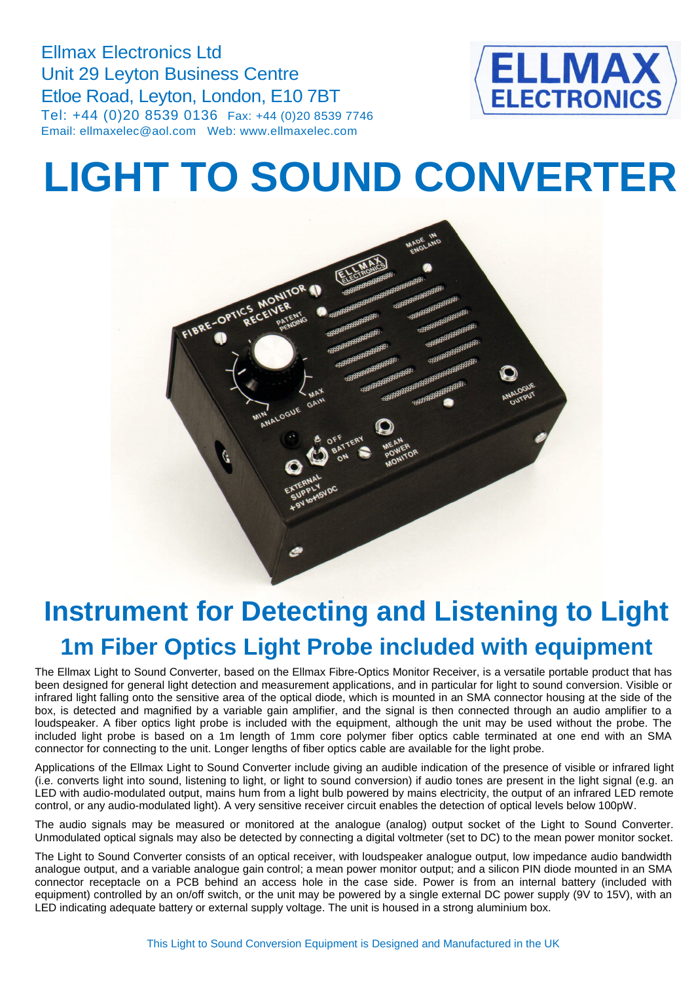Ellmax Electronics Ltd Unit 29 Leyton Business Centre Etloe Road, Leyton, London, E10 7BT Tel: +44 (0)20 8539 0136 Fax: +44 (0)20 8539 7746 Email: ellmaxelec@aol.com Web: www.ellmaxelec.com



## **LIGHT TO SOUND CONVERTER**



## **Instrument for Detecting and Listening to Light 1m Fiber Optics Light Probe included with equipment**

The Ellmax Light to Sound Converter, based on the Ellmax Fibre-Optics Monitor Receiver, is a versatile portable product that has been designed for general light detection and measurement applications, and in particular for light to sound conversion. Visible or infrared light falling onto the sensitive area of the optical diode, which is mounted in an SMA connector housing at the side of the box, is detected and magnified by a variable gain amplifier, and the signal is then connected through an audio amplifier to a loudspeaker. A fiber optics light probe is included with the equipment, although the unit may be used without the probe. The included light probe is based on a 1m length of 1mm core polymer fiber optics cable terminated at one end with an SMA connector for connecting to the unit. Longer lengths of fiber optics cable are available for the light probe.

Applications of the Ellmax Light to Sound Converter include giving an audible indication of the presence of visible or infrared light (i.e. converts light into sound, listening to light, or light to sound conversion) if audio tones are present in the light signal (e.g. an LED with audio-modulated output, mains hum from a light bulb powered by mains electricity, the output of an infrared LED remote control, or any audio-modulated light). A very sensitive receiver circuit enables the detection of optical levels below 100pW.

The audio signals may be measured or monitored at the analogue (analog) output socket of the Light to Sound Converter. Unmodulated optical signals may also be detected by connecting a digital voltmeter (set to DC) to the mean power monitor socket.

The Light to Sound Converter consists of an optical receiver, with loudspeaker analogue output, low impedance audio bandwidth analogue output, and a variable analogue gain control; a mean power monitor output; and a silicon PIN diode mounted in an SMA connector receptacle on a PCB behind an access hole in the case side. Power is from an internal battery (included with equipment) controlled by an on/off switch, or the unit may be powered by a single external DC power supply (9V to 15V), with an LED indicating adequate battery or external supply voltage. The unit is housed in a strong aluminium box.